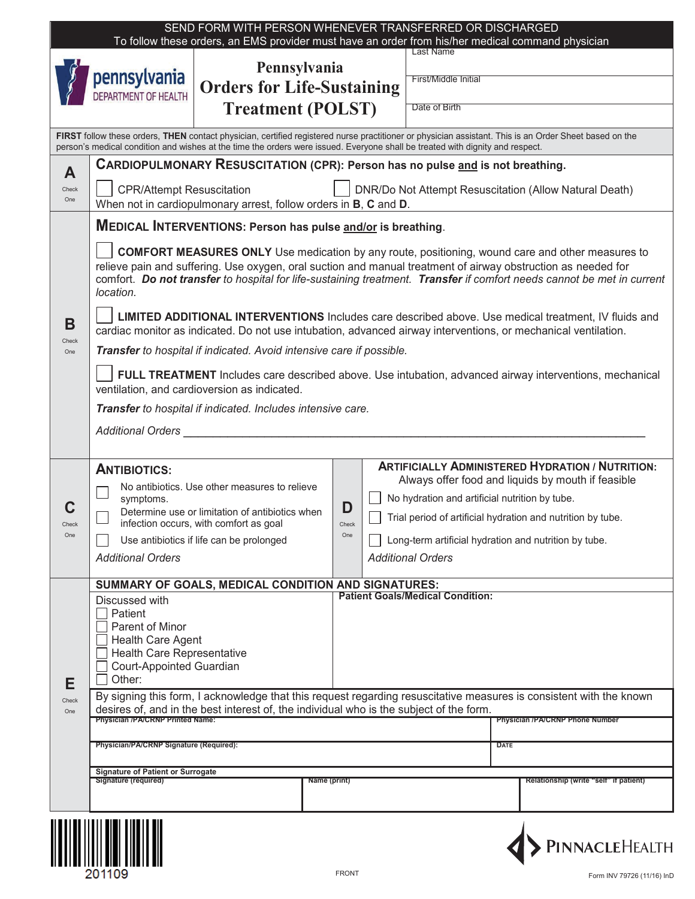| SEND FORM WITH PERSON WHENEVER TRANSFERRED OR DISCHARGED<br>To follow these orders, an EMS provider must have an order from his/her medical command physician                                                                                                                           |                                                                                                                                                                                                                                                                                                                                                                 |                                                   |  |                   |                                                             |                                                       |                                                    |  |  |  |
|-----------------------------------------------------------------------------------------------------------------------------------------------------------------------------------------------------------------------------------------------------------------------------------------|-----------------------------------------------------------------------------------------------------------------------------------------------------------------------------------------------------------------------------------------------------------------------------------------------------------------------------------------------------------------|---------------------------------------------------|--|-------------------|-------------------------------------------------------------|-------------------------------------------------------|----------------------------------------------------|--|--|--|
|                                                                                                                                                                                                                                                                                         | pennsylvania<br><b>DEPARTMENT OF HEALTH</b>                                                                                                                                                                                                                                                                                                                     | Pennsylvania<br><b>Orders for Life-Sustaining</b> |  |                   |                                                             | <b>Last Name</b><br>First/Middle Initial              |                                                    |  |  |  |
|                                                                                                                                                                                                                                                                                         |                                                                                                                                                                                                                                                                                                                                                                 | <b>Treatment (POLST)</b>                          |  |                   |                                                             | Date of Birth                                         |                                                    |  |  |  |
| FIRST follow these orders, THEN contact physician, certified registered nurse practitioner or physician assistant. This is an Order Sheet based on the<br>person's medical condition and wishes at the time the orders were issued. Everyone shall be treated with dignity and respect. |                                                                                                                                                                                                                                                                                                                                                                 |                                                   |  |                   |                                                             |                                                       |                                                    |  |  |  |
| A                                                                                                                                                                                                                                                                                       | <b>CARDIOPULMONARY RESUSCITATION (CPR): Person has no pulse and is not breathing.</b>                                                                                                                                                                                                                                                                           |                                                   |  |                   |                                                             |                                                       |                                                    |  |  |  |
| Check<br>One                                                                                                                                                                                                                                                                            | <b>CPR/Attempt Resuscitation</b><br>DNR/Do Not Attempt Resuscitation (Allow Natural Death)<br>When not in cardiopulmonary arrest, follow orders in B, C and D.                                                                                                                                                                                                  |                                                   |  |                   |                                                             |                                                       |                                                    |  |  |  |
|                                                                                                                                                                                                                                                                                         | <b>MEDICAL INTERVENTIONS: Person has pulse and/or is breathing.</b>                                                                                                                                                                                                                                                                                             |                                                   |  |                   |                                                             |                                                       |                                                    |  |  |  |
|                                                                                                                                                                                                                                                                                         | <b>COMFORT MEASURES ONLY</b> Use medication by any route, positioning, wound care and other measures to<br>relieve pain and suffering. Use oxygen, oral suction and manual treatment of airway obstruction as needed for<br>comfort. Do not transfer to hospital for life-sustaining treatment. Transfer if comfort needs cannot be met in current<br>location. |                                                   |  |                   |                                                             |                                                       |                                                    |  |  |  |
| В<br>Check                                                                                                                                                                                                                                                                              | <b>LIMITED ADDITIONAL INTERVENTIONS</b> Includes care described above. Use medical treatment, IV fluids and<br>cardiac monitor as indicated. Do not use intubation, advanced airway interventions, or mechanical ventilation.                                                                                                                                   |                                                   |  |                   |                                                             |                                                       |                                                    |  |  |  |
| One                                                                                                                                                                                                                                                                                     | Transfer to hospital if indicated. Avoid intensive care if possible.                                                                                                                                                                                                                                                                                            |                                                   |  |                   |                                                             |                                                       |                                                    |  |  |  |
|                                                                                                                                                                                                                                                                                         | FULL TREATMENT Includes care described above. Use intubation, advanced airway interventions, mechanical<br>ventilation, and cardioversion as indicated.                                                                                                                                                                                                         |                                                   |  |                   |                                                             |                                                       |                                                    |  |  |  |
|                                                                                                                                                                                                                                                                                         | Transfer to hospital if indicated. Includes intensive care.                                                                                                                                                                                                                                                                                                     |                                                   |  |                   |                                                             |                                                       |                                                    |  |  |  |
|                                                                                                                                                                                                                                                                                         | <b>Additional Orders</b>                                                                                                                                                                                                                                                                                                                                        |                                                   |  |                   |                                                             |                                                       |                                                    |  |  |  |
|                                                                                                                                                                                                                                                                                         | <b>ARTIFICIALLY ADMINISTERED HYDRATION / NUTRITION:</b>                                                                                                                                                                                                                                                                                                         |                                                   |  |                   |                                                             |                                                       |                                                    |  |  |  |
|                                                                                                                                                                                                                                                                                         | <b>ANTIBIOTICS:</b><br>No antibiotics. Use other measures to relieve                                                                                                                                                                                                                                                                                            |                                                   |  |                   |                                                             |                                                       | Always offer food and liquids by mouth if feasible |  |  |  |
|                                                                                                                                                                                                                                                                                         | symptoms.<br>Determine use or limitation of antibiotics when                                                                                                                                                                                                                                                                                                    |                                                   |  | D<br>Check<br>One | No hydration and artificial nutrition by tube.              |                                                       |                                                    |  |  |  |
| Check                                                                                                                                                                                                                                                                                   | infection occurs, with comfort as goal                                                                                                                                                                                                                                                                                                                          |                                                   |  |                   | Trial period of artificial hydration and nutrition by tube. |                                                       |                                                    |  |  |  |
| One                                                                                                                                                                                                                                                                                     | Use antibiotics if life can be prolonged                                                                                                                                                                                                                                                                                                                        |                                                   |  |                   |                                                             | Long-term artificial hydration and nutrition by tube. |                                                    |  |  |  |
|                                                                                                                                                                                                                                                                                         | <b>Additional Orders</b>                                                                                                                                                                                                                                                                                                                                        |                                                   |  |                   |                                                             | <b>Additional Orders</b>                              |                                                    |  |  |  |
|                                                                                                                                                                                                                                                                                         | SUMMARY OF GOALS, MEDICAL CONDITION AND SIGNATURES:<br><b>Patient Goals/Medical Condition:</b>                                                                                                                                                                                                                                                                  |                                                   |  |                   |                                                             |                                                       |                                                    |  |  |  |
|                                                                                                                                                                                                                                                                                         | Discussed with<br>Patient                                                                                                                                                                                                                                                                                                                                       |                                                   |  |                   |                                                             |                                                       |                                                    |  |  |  |
|                                                                                                                                                                                                                                                                                         | Parent of Minor                                                                                                                                                                                                                                                                                                                                                 |                                                   |  |                   |                                                             |                                                       |                                                    |  |  |  |
|                                                                                                                                                                                                                                                                                         | <b>Health Care Agent</b><br>Health Care Representative                                                                                                                                                                                                                                                                                                          |                                                   |  |                   |                                                             |                                                       |                                                    |  |  |  |
| E                                                                                                                                                                                                                                                                                       | Court-Appointed Guardian                                                                                                                                                                                                                                                                                                                                        |                                                   |  |                   |                                                             |                                                       |                                                    |  |  |  |
|                                                                                                                                                                                                                                                                                         | Other:                                                                                                                                                                                                                                                                                                                                                          |                                                   |  |                   |                                                             |                                                       |                                                    |  |  |  |
| Check<br>One                                                                                                                                                                                                                                                                            | By signing this form, I acknowledge that this request regarding resuscitative measures is consistent with the known<br>desires of, and in the best interest of, the individual who is the subject of the form.                                                                                                                                                  |                                                   |  |                   |                                                             |                                                       |                                                    |  |  |  |
|                                                                                                                                                                                                                                                                                         | <b>Physician /PA/CRNP Printed Name:</b>                                                                                                                                                                                                                                                                                                                         |                                                   |  |                   | <b>Physician /PA/CRNP Phone Number</b>                      |                                                       |                                                    |  |  |  |
|                                                                                                                                                                                                                                                                                         | Physician/PA/CRNP Signature (Required):                                                                                                                                                                                                                                                                                                                         |                                                   |  |                   |                                                             |                                                       | <b>DATE</b>                                        |  |  |  |
|                                                                                                                                                                                                                                                                                         | <b>Signature of Patient or Surrogate</b>                                                                                                                                                                                                                                                                                                                        |                                                   |  |                   |                                                             |                                                       |                                                    |  |  |  |
|                                                                                                                                                                                                                                                                                         | Signature (required)<br>Name (print)                                                                                                                                                                                                                                                                                                                            |                                                   |  |                   |                                                             |                                                       | Relationship (write "self" if patient)             |  |  |  |
|                                                                                                                                                                                                                                                                                         |                                                                                                                                                                                                                                                                                                                                                                 |                                                   |  |                   |                                                             |                                                       |                                                    |  |  |  |
|                                                                                                                                                                                                                                                                                         | <u>Tionicu IIIII choi choile ann</u>                                                                                                                                                                                                                                                                                                                            |                                                   |  |                   |                                                             |                                                       |                                                    |  |  |  |